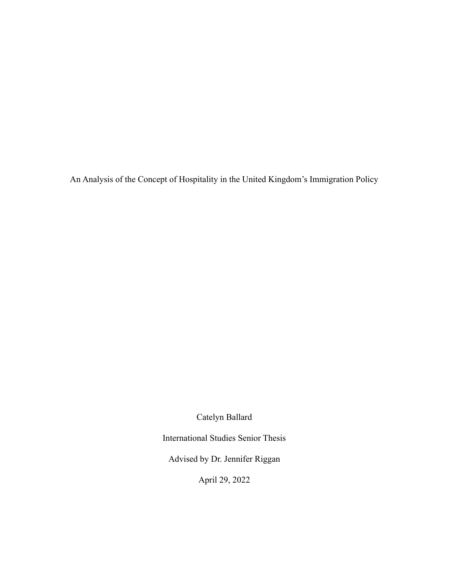An Analysis of the Concept of Hospitality in the United Kingdom's Immigration Policy

Catelyn Ballard

International Studies Senior Thesis

Advised by Dr. Jennifer Riggan

April 29, 2022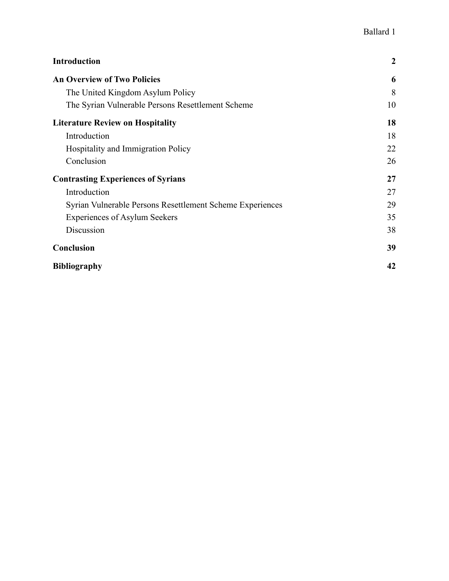| <b>Introduction</b>                                       | 2  |
|-----------------------------------------------------------|----|
| <b>An Overview of Two Policies</b>                        | 6  |
| The United Kingdom Asylum Policy                          | 8  |
| The Syrian Vulnerable Persons Resettlement Scheme         | 10 |
| <b>Literature Review on Hospitality</b>                   | 18 |
| Introduction                                              | 18 |
| <b>Hospitality and Immigration Policy</b>                 | 22 |
| Conclusion                                                | 26 |
| <b>Contrasting Experiences of Syrians</b>                 | 27 |
| Introduction                                              | 27 |
| Syrian Vulnerable Persons Resettlement Scheme Experiences | 29 |
| <b>Experiences of Asylum Seekers</b>                      | 35 |
| Discussion                                                | 38 |
| Conclusion                                                | 39 |
| <b>Bibliography</b>                                       | 42 |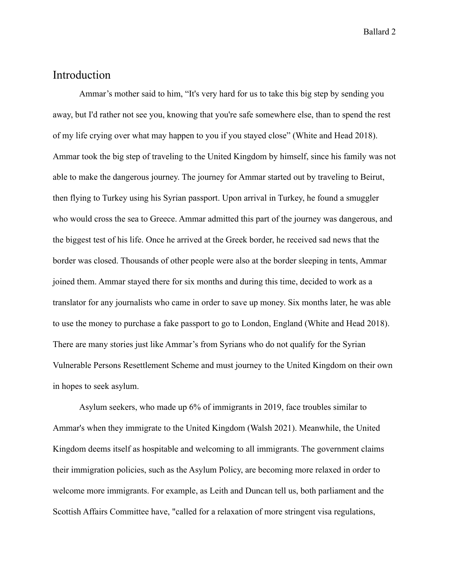# <span id="page-2-0"></span>Introduction

Ammar's mother said to him, "It's very hard for us to take this big step by sending you away, but I'd rather not see you, knowing that you're safe somewhere else, than to spend the rest of my life crying over what may happen to you if you stayed close" (White and Head 2018). Ammar took the big step of traveling to the United Kingdom by himself, since his family was not able to make the dangerous journey. The journey for Ammar started out by traveling to Beirut, then flying to Turkey using his Syrian passport. Upon arrival in Turkey, he found a smuggler who would cross the sea to Greece. Ammar admitted this part of the journey was dangerous, and the biggest test of his life. Once he arrived at the Greek border, he received sad news that the border was closed. Thousands of other people were also at the border sleeping in tents, Ammar joined them. Ammar stayed there for six months and during this time, decided to work as a translator for any journalists who came in order to save up money. Six months later, he was able to use the money to purchase a fake passport to go to London, England (White and Head 2018). There are many stories just like Ammar's from Syrians who do not qualify for the Syrian Vulnerable Persons Resettlement Scheme and must journey to the United Kingdom on their own in hopes to seek asylum.

Asylum seekers, who made up 6% of immigrants in 2019, face troubles similar to Ammar's when they immigrate to the United Kingdom (Walsh 2021). Meanwhile, the United Kingdom deems itself as hospitable and welcoming to all immigrants. The government claims their immigration policies, such as the Asylum Policy, are becoming more relaxed in order to welcome more immigrants. For example, as Leith and Duncan tell us, both parliament and the Scottish Affairs Committee have, "called for a relaxation of more stringent visa regulations,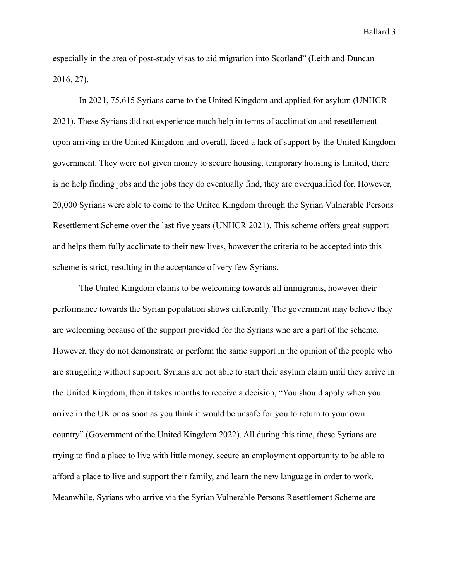especially in the area of post-study visas to aid migration into Scotland" (Leith and Duncan 2016, 27).

In 2021, 75,615 Syrians came to the United Kingdom and applied for asylum (UNHCR 2021). These Syrians did not experience much help in terms of acclimation and resettlement upon arriving in the United Kingdom and overall, faced a lack of support by the United Kingdom government. They were not given money to secure housing, temporary housing is limited, there is no help finding jobs and the jobs they do eventually find, they are overqualified for. However, 20,000 Syrians were able to come to the United Kingdom through the Syrian Vulnerable Persons Resettlement Scheme over the last five years (UNHCR 2021). This scheme offers great support and helps them fully acclimate to their new lives, however the criteria to be accepted into this scheme is strict, resulting in the acceptance of very few Syrians.

The United Kingdom claims to be welcoming towards all immigrants, however their performance towards the Syrian population shows differently. The government may believe they are welcoming because of the support provided for the Syrians who are a part of the scheme. However, they do not demonstrate or perform the same support in the opinion of the people who are struggling without support. Syrians are not able to start their asylum claim until they arrive in the United Kingdom, then it takes months to receive a decision, "You should apply when you arrive in the UK or as soon as you think it would be unsafe for you to return to your own country" (Government of the United Kingdom 2022). All during this time, these Syrians are trying to find a place to live with little money, secure an employment opportunity to be able to afford a place to live and support their family, and learn the new language in order to work. Meanwhile, Syrians who arrive via the Syrian Vulnerable Persons Resettlement Scheme are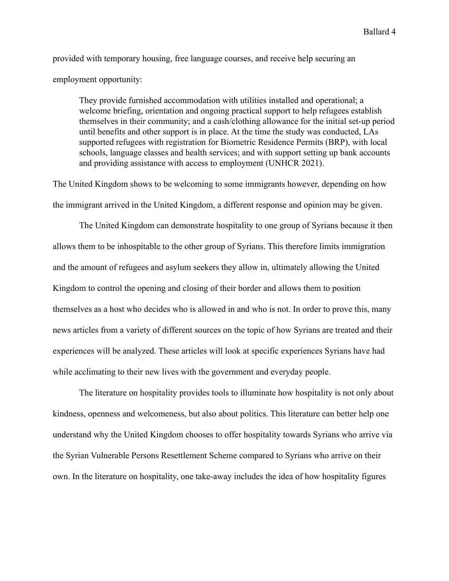provided with temporary housing, free language courses, and receive help securing an employment opportunity:

They provide furnished accommodation with utilities installed and operational; a welcome briefing, orientation and ongoing practical support to help refugees establish themselves in their community; and a cash/clothing allowance for the initial set-up period until benefits and other support is in place. At the time the study was conducted, LAs supported refugees with registration for Biometric Residence Permits (BRP), with local schools, language classes and health services; and with support setting up bank accounts and providing assistance with access to employment (UNHCR 2021).

The United Kingdom shows to be welcoming to some immigrants however, depending on how the immigrant arrived in the United Kingdom, a different response and opinion may be given.

The United Kingdom can demonstrate hospitality to one group of Syrians because it then allows them to be inhospitable to the other group of Syrians. This therefore limits immigration and the amount of refugees and asylum seekers they allow in, ultimately allowing the United Kingdom to control the opening and closing of their border and allows them to position themselves as a host who decides who is allowed in and who is not. In order to prove this, many news articles from a variety of different sources on the topic of how Syrians are treated and their experiences will be analyzed. These articles will look at specific experiences Syrians have had while acclimating to their new lives with the government and everyday people.

The literature on hospitality provides tools to illuminate how hospitality is not only about kindness, openness and welcomeness, but also about politics. This literature can better help one understand why the United Kingdom chooses to offer hospitality towards Syrians who arrive via the Syrian Vulnerable Persons Resettlement Scheme compared to Syrians who arrive on their own. In the literature on hospitality, one take-away includes the idea of how hospitality figures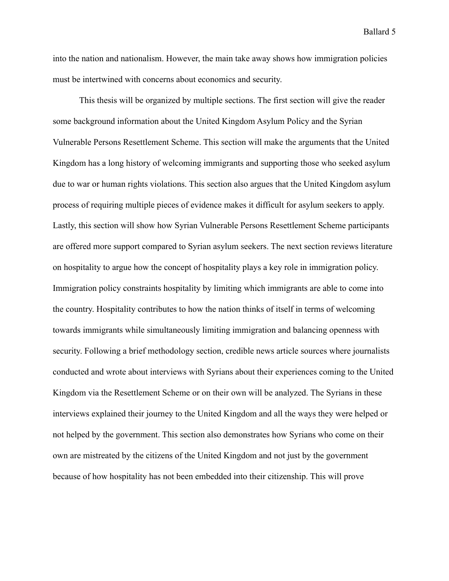into the nation and nationalism. However, the main take away shows how immigration policies must be intertwined with concerns about economics and security.

This thesis will be organized by multiple sections. The first section will give the reader some background information about the United Kingdom Asylum Policy and the Syrian Vulnerable Persons Resettlement Scheme. This section will make the arguments that the United Kingdom has a long history of welcoming immigrants and supporting those who seeked asylum due to war or human rights violations. This section also argues that the United Kingdom asylum process of requiring multiple pieces of evidence makes it difficult for asylum seekers to apply. Lastly, this section will show how Syrian Vulnerable Persons Resettlement Scheme participants are offered more support compared to Syrian asylum seekers. The next section reviews literature on hospitality to argue how the concept of hospitality plays a key role in immigration policy. Immigration policy constraints hospitality by limiting which immigrants are able to come into the country. Hospitality contributes to how the nation thinks of itself in terms of welcoming towards immigrants while simultaneously limiting immigration and balancing openness with security. Following a brief methodology section, credible news article sources where journalists conducted and wrote about interviews with Syrians about their experiences coming to the United Kingdom via the Resettlement Scheme or on their own will be analyzed. The Syrians in these interviews explained their journey to the United Kingdom and all the ways they were helped or not helped by the government. This section also demonstrates how Syrians who come on their own are mistreated by the citizens of the United Kingdom and not just by the government because of how hospitality has not been embedded into their citizenship. This will prove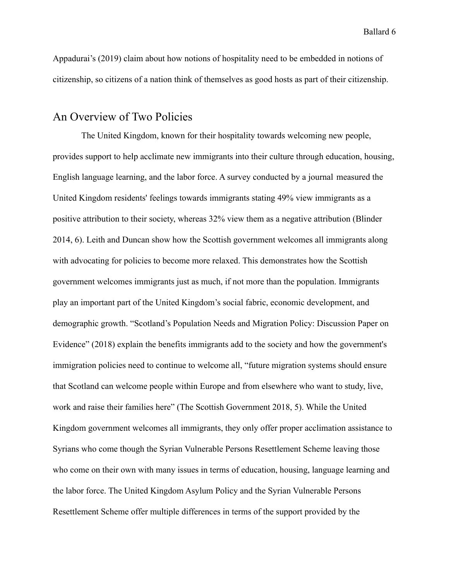Appadurai's (2019) claim about how notions of hospitality need to be embedded in notions of citizenship, so citizens of a nation think of themselves as good hosts as part of their citizenship.

### <span id="page-6-0"></span>An Overview of Two Policies

The United Kingdom, known for their hospitality towards welcoming new people, provides support to help acclimate new immigrants into their culture through education, housing, English language learning, and the labor force. A survey conducted by a journal measured the United Kingdom residents' feelings towards immigrants stating 49% view immigrants as a positive attribution to their society, whereas 32% view them as a negative attribution (Blinder 2014, 6). Leith and Duncan show how the Scottish government welcomes all immigrants along with advocating for policies to become more relaxed. This demonstrates how the Scottish government welcomes immigrants just as much, if not more than the population. Immigrants play an important part of the United Kingdom's social fabric, economic development, and demographic growth. "Scotland's Population Needs and Migration Policy: Discussion Paper on Evidence" (2018) explain the benefits immigrants add to the society and how the government's immigration policies need to continue to welcome all, "future migration systems should ensure that Scotland can welcome people within Europe and from elsewhere who want to study, live, work and raise their families here" (The Scottish Government 2018, 5). While the United Kingdom government welcomes all immigrants, they only offer proper acclimation assistance to Syrians who come though the Syrian Vulnerable Persons Resettlement Scheme leaving those who come on their own with many issues in terms of education, housing, language learning and the labor force. The United Kingdom Asylum Policy and the Syrian Vulnerable Persons Resettlement Scheme offer multiple differences in terms of the support provided by the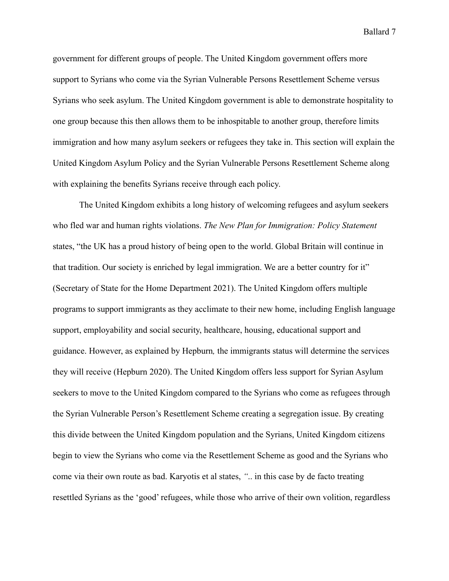government for different groups of people. The United Kingdom government offers more support to Syrians who come via the Syrian Vulnerable Persons Resettlement Scheme versus Syrians who seek asylum. The United Kingdom government is able to demonstrate hospitality to one group because this then allows them to be inhospitable to another group, therefore limits immigration and how many asylum seekers or refugees they take in. This section will explain the United Kingdom Asylum Policy and the Syrian Vulnerable Persons Resettlement Scheme along with explaining the benefits Syrians receive through each policy.

The United Kingdom exhibits a long history of welcoming refugees and asylum seekers who fled war and human rights violations. *The New Plan for Immigration: Policy Statement* states, "the UK has a proud history of being open to the world. Global Britain will continue in that tradition. Our society is enriched by legal immigration. We are a better country for it" (Secretary of State for the Home Department 2021). The United Kingdom offers multiple programs to support immigrants as they acclimate to their new home, including English language support, employability and social security, healthcare, housing, educational support and guidance. However, as explained by Hepburn*,* the immigrants status will determine the services they will receive (Hepburn 2020). The United Kingdom offers less support for Syrian Asylum seekers to move to the United Kingdom compared to the Syrians who come as refugees through the Syrian Vulnerable Person's Resettlement Scheme creating a segregation issue. By creating this divide between the United Kingdom population and the Syrians, United Kingdom citizens begin to view the Syrians who come via the Resettlement Scheme as good and the Syrians who come via their own route as bad. Karyotis et al states, *"*.. in this case by de facto treating resettled Syrians as the 'good' refugees, while those who arrive of their own volition, regardless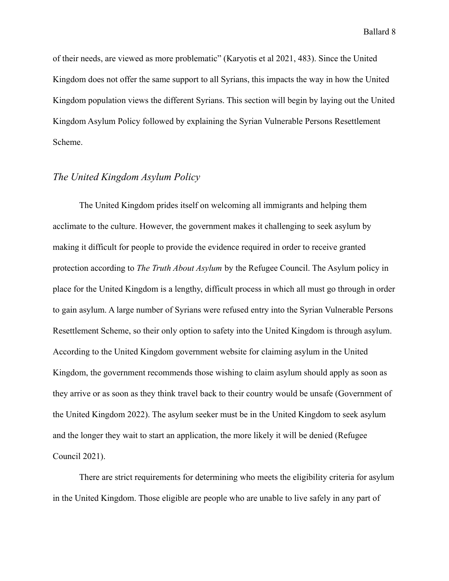of their needs, are viewed as more problematic" (Karyotis et al 2021, 483). Since the United Kingdom does not offer the same support to all Syrians, this impacts the way in how the United Kingdom population views the different Syrians. This section will begin by laying out the United Kingdom Asylum Policy followed by explaining the Syrian Vulnerable Persons Resettlement Scheme.

#### <span id="page-8-0"></span>*The United Kingdom Asylum Policy*

The United Kingdom prides itself on welcoming all immigrants and helping them acclimate to the culture. However, the government makes it challenging to seek asylum by making it difficult for people to provide the evidence required in order to receive granted protection according to *The Truth About Asylum* by the Refugee Council. The Asylum policy in place for the United Kingdom is a lengthy, difficult process in which all must go through in order to gain asylum. A large number of Syrians were refused entry into the Syrian Vulnerable Persons Resettlement Scheme, so their only option to safety into the United Kingdom is through asylum. According to the United Kingdom government website for claiming asylum in the United Kingdom, the government recommends those wishing to claim asylum should apply as soon as they arrive or as soon as they think travel back to their country would be unsafe (Government of the United Kingdom 2022). The asylum seeker must be in the United Kingdom to seek asylum and the longer they wait to start an application, the more likely it will be denied (Refugee Council 2021).

There are strict requirements for determining who meets the eligibility criteria for asylum in the United Kingdom. Those eligible are people who are unable to live safely in any part of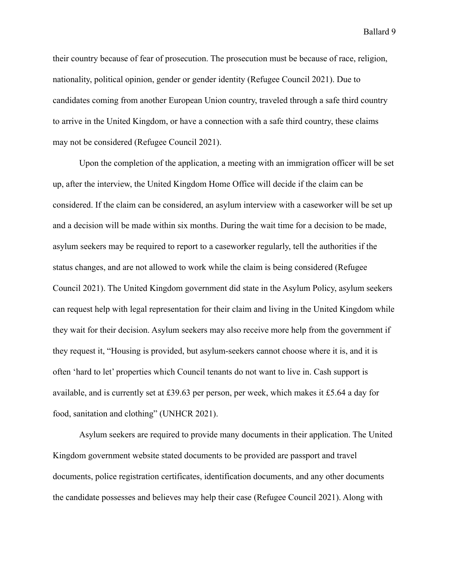their country because of fear of prosecution. The prosecution must be because of race, religion, nationality, political opinion, gender or gender identity (Refugee Council 2021). Due to candidates coming from another European Union country, traveled through a safe third country to arrive in the United Kingdom, or have a connection with a safe third country, these claims may not be considered (Refugee Council 2021).

Upon the completion of the application, a meeting with an immigration officer will be set up, after the interview, the United Kingdom Home Office will decide if the claim can be considered. If the claim can be considered, an asylum interview with a caseworker will be set up and a decision will be made within six months. During the wait time for a decision to be made, asylum seekers may be required to report to a caseworker regularly, tell the authorities if the status changes, and are not allowed to work while the claim is being considered (Refugee Council 2021). The United Kingdom government did state in the Asylum Policy, asylum seekers can request help with legal representation for their claim and living in the United Kingdom while they wait for their decision. Asylum seekers may also receive more help from the government if they request it, "Housing is provided, but asylum-seekers cannot choose where it is, and it is often 'hard to let' properties which Council tenants do not want to live in. Cash support is available, and is currently set at £39.63 per person, per week, which makes it £5.64 a day for food, sanitation and clothing" (UNHCR 2021).

Asylum seekers are required to provide many documents in their application. The United Kingdom government website stated documents to be provided are passport and travel documents, police registration certificates, identification documents, and any other documents the candidate possesses and believes may help their case (Refugee Council 2021). Along with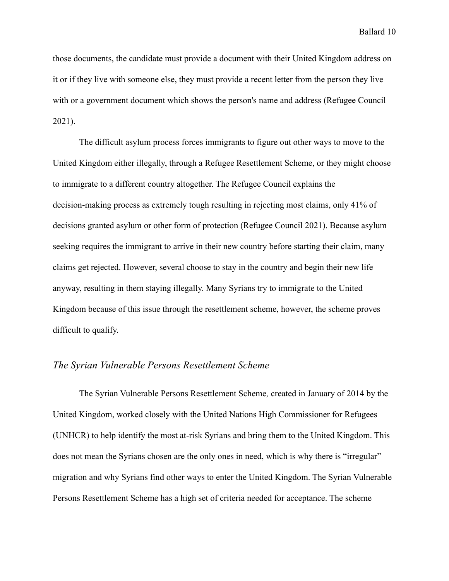those documents, the candidate must provide a document with their United Kingdom address on it or if they live with someone else, they must provide a recent letter from the person they live with or a government document which shows the person's name and address (Refugee Council 2021).

The difficult asylum process forces immigrants to figure out other ways to move to the United Kingdom either illegally, through a Refugee Resettlement Scheme, or they might choose to immigrate to a different country altogether. The Refugee Council explains the decision-making process as extremely tough resulting in rejecting most claims, only 41% of decisions granted asylum or other form of protection (Refugee Council 2021). Because asylum seeking requires the immigrant to arrive in their new country before starting their claim, many claims get rejected. However, several choose to stay in the country and begin their new life anyway, resulting in them staying illegally. Many Syrians try to immigrate to the United Kingdom because of this issue through the resettlement scheme, however, the scheme proves difficult to qualify.

#### <span id="page-10-0"></span>*The Syrian Vulnerable Persons Resettlement Scheme*

The Syrian Vulnerable Persons Resettlement Scheme*,* created in January of 2014 by the United Kingdom, worked closely with the United Nations High Commissioner for Refugees (UNHCR) to help identify the most at-risk Syrians and bring them to the United Kingdom. This does not mean the Syrians chosen are the only ones in need, which is why there is "irregular" migration and why Syrians find other ways to enter the United Kingdom. The Syrian Vulnerable Persons Resettlement Scheme has a high set of criteria needed for acceptance. The scheme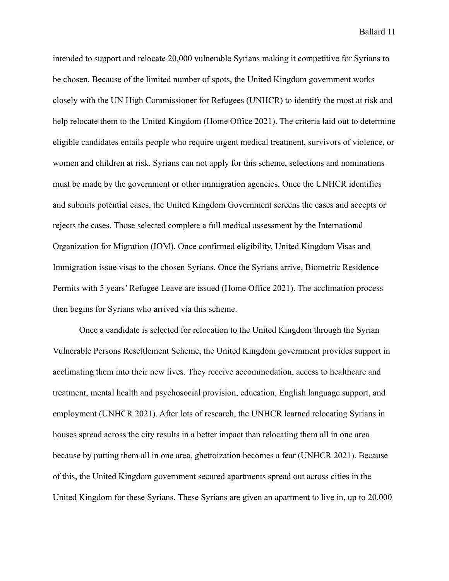intended to support and relocate 20,000 vulnerable Syrians making it competitive for Syrians to be chosen. Because of the limited number of spots, the United Kingdom government works closely with the UN High Commissioner for Refugees (UNHCR) to identify the most at risk and help relocate them to the United Kingdom (Home Office 2021). The criteria laid out to determine eligible candidates entails people who require urgent medical treatment, survivors of violence, or women and children at risk. Syrians can not apply for this scheme, selections and nominations must be made by the government or other immigration agencies. Once the UNHCR identifies and submits potential cases, the United Kingdom Government screens the cases and accepts or rejects the cases. Those selected complete a full medical assessment by the International Organization for Migration (IOM). Once confirmed eligibility, United Kingdom Visas and Immigration issue visas to the chosen Syrians. Once the Syrians arrive, Biometric Residence Permits with 5 years' Refugee Leave are issued (Home Office 2021). The acclimation process then begins for Syrians who arrived via this scheme.

Once a candidate is selected for relocation to the United Kingdom through the Syrian Vulnerable Persons Resettlement Scheme, the United Kingdom government provides support in acclimating them into their new lives. They receive accommodation, access to healthcare and treatment, mental health and psychosocial provision, education, English language support, and employment (UNHCR 2021). After lots of research, the UNHCR learned relocating Syrians in houses spread across the city results in a better impact than relocating them all in one area because by putting them all in one area, ghettoization becomes a fear (UNHCR 2021). Because of this, the United Kingdom government secured apartments spread out across cities in the United Kingdom for these Syrians. These Syrians are given an apartment to live in, up to 20,000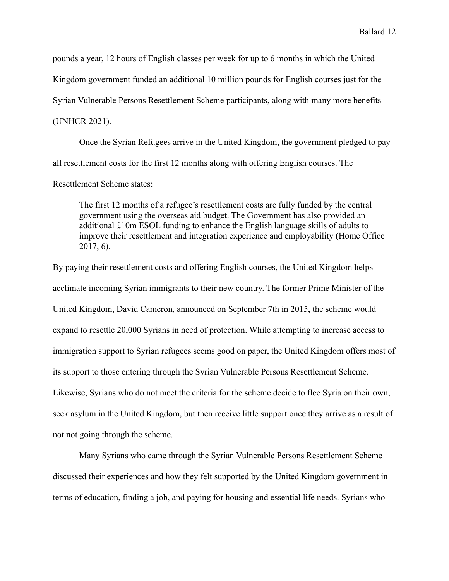pounds a year, 12 hours of English classes per week for up to 6 months in which the United Kingdom government funded an additional 10 million pounds for English courses just for the Syrian Vulnerable Persons Resettlement Scheme participants, along with many more benefits (UNHCR 2021).

Once the Syrian Refugees arrive in the United Kingdom, the government pledged to pay all resettlement costs for the first 12 months along with offering English courses. The Resettlement Scheme states:

The first 12 months of a refugee's resettlement costs are fully funded by the central government using the overseas aid budget. The Government has also provided an additional £10m ESOL funding to enhance the English language skills of adults to improve their resettlement and integration experience and employability (Home Office 2017, 6).

By paying their resettlement costs and offering English courses, the United Kingdom helps acclimate incoming Syrian immigrants to their new country. The former Prime Minister of the United Kingdom, David Cameron, announced on September 7th in 2015, the scheme would expand to resettle 20,000 Syrians in need of protection. While attempting to increase access to immigration support to Syrian refugees seems good on paper, the United Kingdom offers most of its support to those entering through the Syrian Vulnerable Persons Resettlement Scheme. Likewise, Syrians who do not meet the criteria for the scheme decide to flee Syria on their own, seek asylum in the United Kingdom, but then receive little support once they arrive as a result of not not going through the scheme.

Many Syrians who came through the Syrian Vulnerable Persons Resettlement Scheme discussed their experiences and how they felt supported by the United Kingdom government in terms of education, finding a job, and paying for housing and essential life needs. Syrians who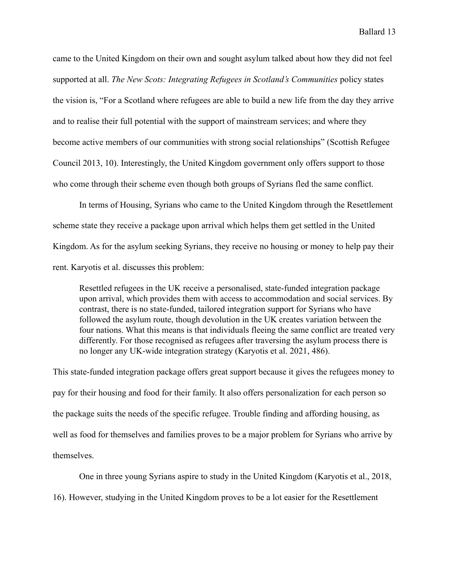came to the United Kingdom on their own and sought asylum talked about how they did not feel supported at all. *The New Scots: Integrating Refugees in Scotland's Communities* policy states the vision is, "For a Scotland where refugees are able to build a new life from the day they arrive and to realise their full potential with the support of mainstream services; and where they become active members of our communities with strong social relationships" (Scottish Refugee Council 2013, 10). Interestingly, the United Kingdom government only offers support to those who come through their scheme even though both groups of Syrians fled the same conflict.

In terms of Housing, Syrians who came to the United Kingdom through the Resettlement scheme state they receive a package upon arrival which helps them get settled in the United Kingdom. As for the asylum seeking Syrians, they receive no housing or money to help pay their rent. Karyotis et al. discusses this problem:

Resettled refugees in the UK receive a personalised, state-funded integration package upon arrival, which provides them with access to accommodation and social services. By contrast, there is no state-funded, tailored integration support for Syrians who have followed the asylum route, though devolution in the UK creates variation between the four nations. What this means is that individuals fleeing the same conflict are treated very differently. For those recognised as refugees after traversing the asylum process there is no longer any UK-wide integration strategy (Karyotis et al. 2021, 486).

This state-funded integration package offers great support because it gives the refugees money to pay for their housing and food for their family. It also offers personalization for each person so the package suits the needs of the specific refugee. Trouble finding and affording housing, as well as food for themselves and families proves to be a major problem for Syrians who arrive by themselves.

One in three young Syrians aspire to study in the United Kingdom (Karyotis et al., 2018,

16). However, studying in the United Kingdom proves to be a lot easier for the Resettlement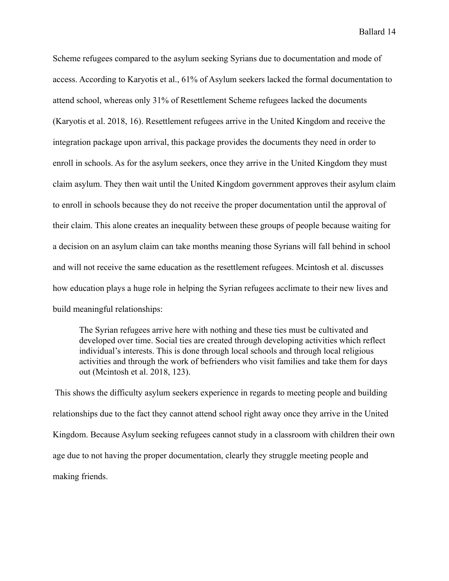Scheme refugees compared to the asylum seeking Syrians due to documentation and mode of access. According to Karyotis et al., 61% of Asylum seekers lacked the formal documentation to attend school, whereas only 31% of Resettlement Scheme refugees lacked the documents (Karyotis et al. 2018, 16). Resettlement refugees arrive in the United Kingdom and receive the integration package upon arrival, this package provides the documents they need in order to enroll in schools. As for the asylum seekers, once they arrive in the United Kingdom they must claim asylum. They then wait until the United Kingdom government approves their asylum claim to enroll in schools because they do not receive the proper documentation until the approval of their claim. This alone creates an inequality between these groups of people because waiting for a decision on an asylum claim can take months meaning those Syrians will fall behind in school and will not receive the same education as the resettlement refugees. Mcintosh et al. discusses how education plays a huge role in helping the Syrian refugees acclimate to their new lives and build meaningful relationships:

The Syrian refugees arrive here with nothing and these ties must be cultivated and developed over time. Social ties are created through developing activities which reflect individual's interests. This is done through local schools and through local religious activities and through the work of befrienders who visit families and take them for days out (Mcintosh et al. 2018, 123).

This shows the difficulty asylum seekers experience in regards to meeting people and building relationships due to the fact they cannot attend school right away once they arrive in the United Kingdom. Because Asylum seeking refugees cannot study in a classroom with children their own age due to not having the proper documentation, clearly they struggle meeting people and making friends.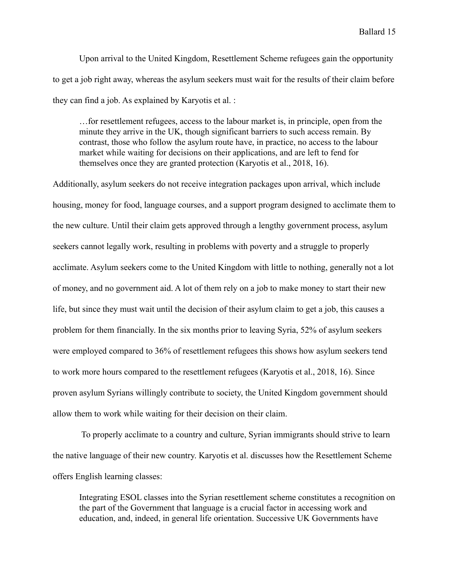Upon arrival to the United Kingdom, Resettlement Scheme refugees gain the opportunity to get a job right away, whereas the asylum seekers must wait for the results of their claim before they can find a job. As explained by Karyotis et al. :

…for resettlement refugees, access to the labour market is, in principle, open from the minute they arrive in the UK, though significant barriers to such access remain. By contrast, those who follow the asylum route have, in practice, no access to the labour market while waiting for decisions on their applications, and are left to fend for themselves once they are granted protection (Karyotis et al., 2018, 16).

Additionally, asylum seekers do not receive integration packages upon arrival, which include housing, money for food, language courses, and a support program designed to acclimate them to the new culture. Until their claim gets approved through a lengthy government process, asylum seekers cannot legally work, resulting in problems with poverty and a struggle to properly acclimate. Asylum seekers come to the United Kingdom with little to nothing, generally not a lot of money, and no government aid. A lot of them rely on a job to make money to start their new life, but since they must wait until the decision of their asylum claim to get a job, this causes a problem for them financially. In the six months prior to leaving Syria, 52% of asylum seekers were employed compared to 36% of resettlement refugees this shows how asylum seekers tend to work more hours compared to the resettlement refugees (Karyotis et al., 2018, 16). Since proven asylum Syrians willingly contribute to society, the United Kingdom government should allow them to work while waiting for their decision on their claim.

To properly acclimate to a country and culture, Syrian immigrants should strive to learn the native language of their new country. Karyotis et al. discusses how the Resettlement Scheme offers English learning classes:

Integrating ESOL classes into the Syrian resettlement scheme constitutes a recognition on the part of the Government that language is a crucial factor in accessing work and education, and, indeed, in general life orientation. Successive UK Governments have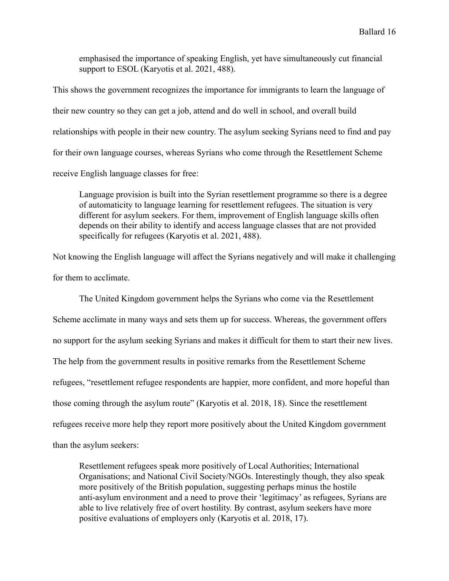emphasised the importance of speaking English, yet have simultaneously cut financial support to ESOL (Karyotis et al. 2021, 488).

This shows the government recognizes the importance for immigrants to learn the language of their new country so they can get a job, attend and do well in school, and overall build relationships with people in their new country. The asylum seeking Syrians need to find and pay for their own language courses, whereas Syrians who come through the Resettlement Scheme receive English language classes for free:

Language provision is built into the Syrian resettlement programme so there is a degree of automaticity to language learning for resettlement refugees. The situation is very different for asylum seekers. For them, improvement of English language skills often depends on their ability to identify and access language classes that are not provided specifically for refugees (Karyotis et al. 2021, 488).

Not knowing the English language will affect the Syrians negatively and will make it challenging for them to acclimate.

The United Kingdom government helps the Syrians who come via the Resettlement Scheme acclimate in many ways and sets them up for success. Whereas, the government offers no support for the asylum seeking Syrians and makes it difficult for them to start their new lives. The help from the government results in positive remarks from the Resettlement Scheme refugees, "resettlement refugee respondents are happier, more confident, and more hopeful than those coming through the asylum route" (Karyotis et al. 2018, 18). Since the resettlement refugees receive more help they report more positively about the United Kingdom government than the asylum seekers:

Resettlement refugees speak more positively of Local Authorities; International Organisations; and National Civil Society/NGOs. Interestingly though, they also speak more positively of the British population, suggesting perhaps minus the hostile anti-asylum environment and a need to prove their 'legitimacy' as refugees, Syrians are able to live relatively free of overt hostility. By contrast, asylum seekers have more positive evaluations of employers only (Karyotis et al. 2018, 17).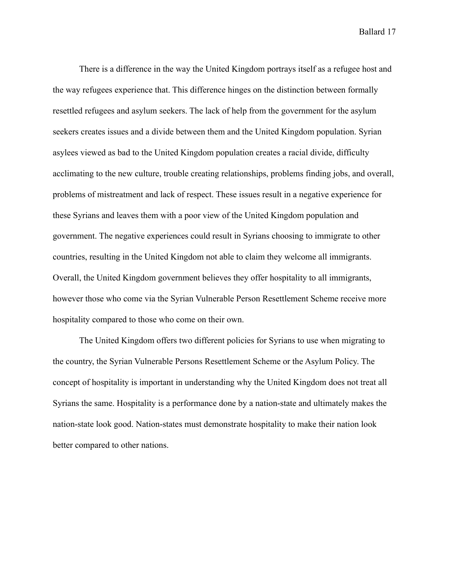There is a difference in the way the United Kingdom portrays itself as a refugee host and the way refugees experience that. This difference hinges on the distinction between formally resettled refugees and asylum seekers. The lack of help from the government for the asylum seekers creates issues and a divide between them and the United Kingdom population. Syrian asylees viewed as bad to the United Kingdom population creates a racial divide, difficulty acclimating to the new culture, trouble creating relationships, problems finding jobs, and overall, problems of mistreatment and lack of respect. These issues result in a negative experience for these Syrians and leaves them with a poor view of the United Kingdom population and government. The negative experiences could result in Syrians choosing to immigrate to other countries, resulting in the United Kingdom not able to claim they welcome all immigrants. Overall, the United Kingdom government believes they offer hospitality to all immigrants, however those who come via the Syrian Vulnerable Person Resettlement Scheme receive more hospitality compared to those who come on their own.

The United Kingdom offers two different policies for Syrians to use when migrating to the country, the Syrian Vulnerable Persons Resettlement Scheme or the Asylum Policy. The concept of hospitality is important in understanding why the United Kingdom does not treat all Syrians the same. Hospitality is a performance done by a nation-state and ultimately makes the nation-state look good. Nation-states must demonstrate hospitality to make their nation look better compared to other nations.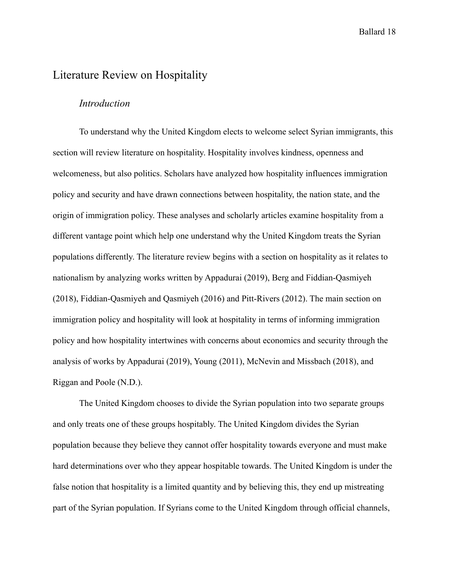## <span id="page-18-1"></span><span id="page-18-0"></span>Literature Review on Hospitality

#### *Introduction*

To understand why the United Kingdom elects to welcome select Syrian immigrants, this section will review literature on hospitality. Hospitality involves kindness, openness and welcomeness, but also politics. Scholars have analyzed how hospitality influences immigration policy and security and have drawn connections between hospitality, the nation state, and the origin of immigration policy. These analyses and scholarly articles examine hospitality from a different vantage point which help one understand why the United Kingdom treats the Syrian populations differently. The literature review begins with a section on hospitality as it relates to nationalism by analyzing works written by Appadurai (2019), Berg and Fiddian-Qasmiyeh (2018), Fiddian-Qasmiyeh and Qasmiyeh (2016) and Pitt-Rivers (2012). The main section on immigration policy and hospitality will look at hospitality in terms of informing immigration policy and how hospitality intertwines with concerns about economics and security through the analysis of works by Appadurai (2019), Young (2011), McNevin and Missbach (2018), and Riggan and Poole (N.D.).

The United Kingdom chooses to divide the Syrian population into two separate groups and only treats one of these groups hospitably. The United Kingdom divides the Syrian population because they believe they cannot offer hospitality towards everyone and must make hard determinations over who they appear hospitable towards. The United Kingdom is under the false notion that hospitality is a limited quantity and by believing this, they end up mistreating part of the Syrian population. If Syrians come to the United Kingdom through official channels,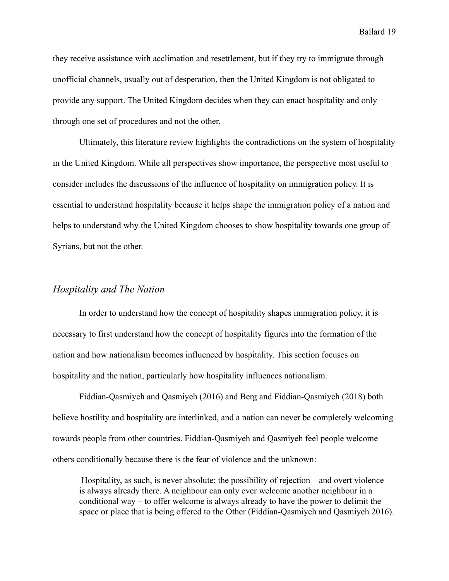they receive assistance with acclimation and resettlement, but if they try to immigrate through unofficial channels, usually out of desperation, then the United Kingdom is not obligated to provide any support. The United Kingdom decides when they can enact hospitality and only through one set of procedures and not the other.

Ultimately, this literature review highlights the contradictions on the system of hospitality in the United Kingdom. While all perspectives show importance, the perspective most useful to consider includes the discussions of the influence of hospitality on immigration policy. It is essential to understand hospitality because it helps shape the immigration policy of a nation and helps to understand why the United Kingdom chooses to show hospitality towards one group of Syrians, but not the other.

#### *Hospitality and The Nation*

In order to understand how the concept of hospitality shapes immigration policy, it is necessary to first understand how the concept of hospitality figures into the formation of the nation and how nationalism becomes influenced by hospitality. This section focuses on hospitality and the nation, particularly how hospitality influences nationalism.

Fiddian-Qasmiyeh and Qasmiyeh (2016) and Berg and Fiddian-Qasmiyeh (2018) both believe hostility and hospitality are interlinked, and a nation can never be completely welcoming towards people from other countries. Fiddian-Qasmiyeh and Qasmiyeh feel people welcome others conditionally because there is the fear of violence and the unknown:

Hospitality, as such, is never absolute: the possibility of rejection – and overt violence – is always already there. A neighbour can only ever welcome another neighbour in a conditional way – to offer welcome is always already to have the power to delimit the space or place that is being offered to the Other (Fiddian-Qasmiyeh and Qasmiyeh 2016).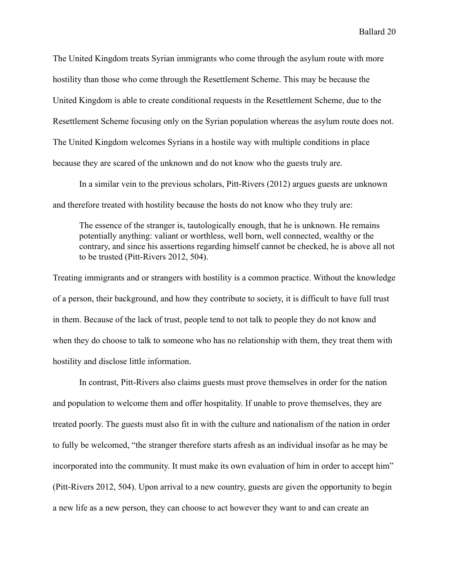The United Kingdom treats Syrian immigrants who come through the asylum route with more hostility than those who come through the Resettlement Scheme. This may be because the United Kingdom is able to create conditional requests in the Resettlement Scheme, due to the Resettlement Scheme focusing only on the Syrian population whereas the asylum route does not. The United Kingdom welcomes Syrians in a hostile way with multiple conditions in place because they are scared of the unknown and do not know who the guests truly are.

In a similar vein to the previous scholars, Pitt-Rivers (2012) argues guests are unknown and therefore treated with hostility because the hosts do not know who they truly are:

The essence of the stranger is, tautologically enough, that he is unknown. He remains potentially anything: valiant or worthless, well born, well connected, wealthy or the contrary, and since his assertions regarding himself cannot be checked, he is above all not to be trusted (Pitt-Rivers 2012, 504).

Treating immigrants and or strangers with hostility is a common practice. Without the knowledge of a person, their background, and how they contribute to society, it is difficult to have full trust in them. Because of the lack of trust, people tend to not talk to people they do not know and when they do choose to talk to someone who has no relationship with them, they treat them with hostility and disclose little information.

In contrast, Pitt-Rivers also claims guests must prove themselves in order for the nation and population to welcome them and offer hospitality. If unable to prove themselves, they are treated poorly. The guests must also fit in with the culture and nationalism of the nation in order to fully be welcomed, "the stranger therefore starts afresh as an individual insofar as he may be incorporated into the community. It must make its own evaluation of him in order to accept him" (Pitt-Rivers 2012, 504). Upon arrival to a new country, guests are given the opportunity to begin a new life as a new person, they can choose to act however they want to and can create an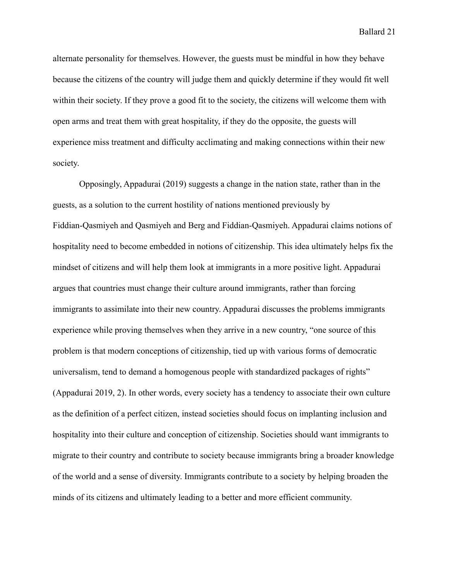alternate personality for themselves. However, the guests must be mindful in how they behave because the citizens of the country will judge them and quickly determine if they would fit well within their society. If they prove a good fit to the society, the citizens will welcome them with open arms and treat them with great hospitality, if they do the opposite, the guests will experience miss treatment and difficulty acclimating and making connections within their new society.

Opposingly, Appadurai (2019) suggests a change in the nation state, rather than in the guests, as a solution to the current hostility of nations mentioned previously by Fiddian-Qasmiyeh and Qasmiyeh and Berg and Fiddian-Qasmiyeh. Appadurai claims notions of hospitality need to become embedded in notions of citizenship. This idea ultimately helps fix the mindset of citizens and will help them look at immigrants in a more positive light. Appadurai argues that countries must change their culture around immigrants, rather than forcing immigrants to assimilate into their new country. Appadurai discusses the problems immigrants experience while proving themselves when they arrive in a new country, "one source of this problem is that modern conceptions of citizenship, tied up with various forms of democratic universalism, tend to demand a homogenous people with standardized packages of rights" (Appadurai 2019, 2). In other words, every society has a tendency to associate their own culture as the definition of a perfect citizen, instead societies should focus on implanting inclusion and hospitality into their culture and conception of citizenship. Societies should want immigrants to migrate to their country and contribute to society because immigrants bring a broader knowledge of the world and a sense of diversity. Immigrants contribute to a society by helping broaden the minds of its citizens and ultimately leading to a better and more efficient community.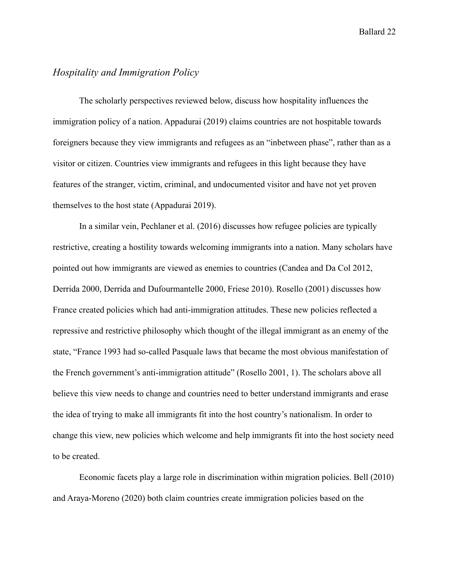### <span id="page-22-0"></span>*Hospitality and Immigration Policy*

The scholarly perspectives reviewed below, discuss how hospitality influences the immigration policy of a nation. Appadurai (2019) claims countries are not hospitable towards foreigners because they view immigrants and refugees as an "inbetween phase", rather than as a visitor or citizen. Countries view immigrants and refugees in this light because they have features of the stranger, victim, criminal, and undocumented visitor and have not yet proven themselves to the host state (Appadurai 2019).

In a similar vein, Pechlaner et al. (2016) discusses how refugee policies are typically restrictive, creating a hostility towards welcoming immigrants into a nation. Many scholars have pointed out how immigrants are viewed as enemies to countries (Candea and Da Col 2012, Derrida 2000, Derrida and Dufourmantelle 2000, Friese 2010). Rosello (2001) discusses how France created policies which had anti-immigration attitudes. These new policies reflected a repressive and restrictive philosophy which thought of the illegal immigrant as an enemy of the state, "France 1993 had so-called Pasquale laws that became the most obvious manifestation of the French government's anti-immigration attitude" (Rosello 2001, 1). The scholars above all believe this view needs to change and countries need to better understand immigrants and erase the idea of trying to make all immigrants fit into the host country's nationalism. In order to change this view, new policies which welcome and help immigrants fit into the host society need to be created.

Economic facets play a large role in discrimination within migration policies. Bell (2010) and Araya-Moreno (2020) both claim countries create immigration policies based on the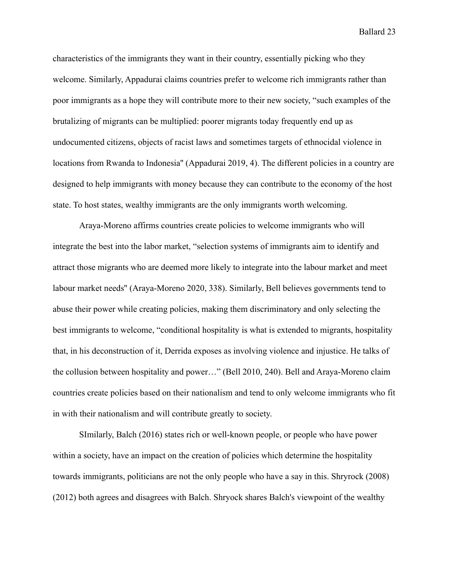characteristics of the immigrants they want in their country, essentially picking who they welcome. Similarly, Appadurai claims countries prefer to welcome rich immigrants rather than poor immigrants as a hope they will contribute more to their new society, "such examples of the brutalizing of migrants can be multiplied: poorer migrants today frequently end up as undocumented citizens, objects of racist laws and sometimes targets of ethnocidal violence in locations from Rwanda to Indonesia" (Appadurai 2019, 4). The different policies in a country are designed to help immigrants with money because they can contribute to the economy of the host state. To host states, wealthy immigrants are the only immigrants worth welcoming.

Araya-Moreno affirms countries create policies to welcome immigrants who will integrate the best into the labor market, "selection systems of immigrants aim to identify and attract those migrants who are deemed more likely to integrate into the labour market and meet labour market needs'' (Araya-Moreno 2020, 338). Similarly, Bell believes governments tend to abuse their power while creating policies, making them discriminatory and only selecting the best immigrants to welcome, "conditional hospitality is what is extended to migrants, hospitality that, in his deconstruction of it, Derrida exposes as involving violence and injustice. He talks of the collusion between hospitality and power…" (Bell 2010, 240). Bell and Araya-Moreno claim countries create policies based on their nationalism and tend to only welcome immigrants who fit in with their nationalism and will contribute greatly to society.

SImilarly, Balch (2016) states rich or well-known people, or people who have power within a society, have an impact on the creation of policies which determine the hospitality towards immigrants, politicians are not the only people who have a say in this. Shryrock (2008) (2012) both agrees and disagrees with Balch. Shryock shares Balch's viewpoint of the wealthy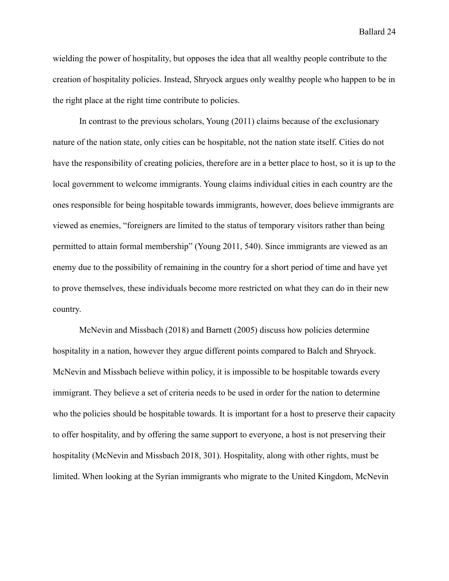wielding the power of hospitality, but opposes the idea that all wealthy people contribute to the creation of hospitality policies. Instead, Shryock argues only wealthy people who happen to be in the right place at the right time contribute to policies.

In contrast to the previous scholars, Young (2011) claims because of the exclusionary nature of the nation state, only cities can be hospitable, not the nation state itself. Cities do not have the responsibility of creating policies, therefore are in a better place to host, so it is up to the local government to welcome immigrants. Young claims individual cities in each country are the ones responsible for being hospitable towards immigrants, however, does believe immigrants are viewed as enemies, "foreigners are limited to the status of temporary visitors rather than being permitted to attain formal membership" (Young 2011, 540). Since immigrants are viewed as an enemy due to the possibility of remaining in the country for a short period of time and have yet to prove themselves, these individuals become more restricted on what they can do in their new country.

McNevin and Missbach (2018) and Barnett (2005) discuss how policies determine hospitality in a nation, however they argue different points compared to Balch and Shryock. McNevin and Missbach believe within policy, it is impossible to be hospitable towards every immigrant. They believe a set of criteria needs to be used in order for the nation to determine who the policies should be hospitable towards. It is important for a host to preserve their capacity to offer hospitality, and by offering the same support to everyone, a host is not preserving their hospitality (McNevin and Missbach 2018, 301). Hospitality, along with other rights, must be limited. When looking at the Syrian immigrants who migrate to the United Kingdom, McNevin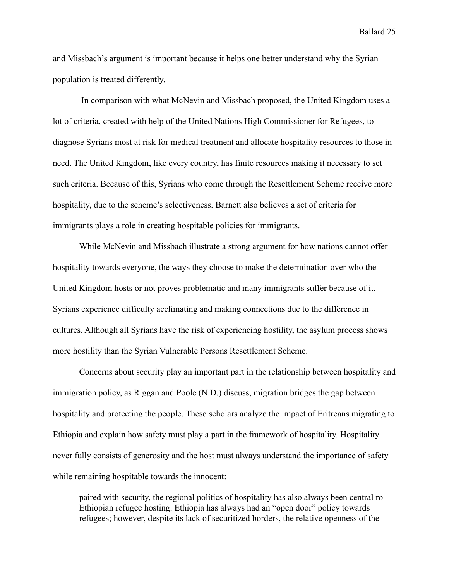and Missbach's argument is important because it helps one better understand why the Syrian population is treated differently.

In comparison with what McNevin and Missbach proposed, the United Kingdom uses a lot of criteria, created with help of the United Nations High Commissioner for Refugees, to diagnose Syrians most at risk for medical treatment and allocate hospitality resources to those in need. The United Kingdom, like every country, has finite resources making it necessary to set such criteria. Because of this, Syrians who come through the Resettlement Scheme receive more hospitality, due to the scheme's selectiveness. Barnett also believes a set of criteria for immigrants plays a role in creating hospitable policies for immigrants.

While McNevin and Missbach illustrate a strong argument for how nations cannot offer hospitality towards everyone, the ways they choose to make the determination over who the United Kingdom hosts or not proves problematic and many immigrants suffer because of it. Syrians experience difficulty acclimating and making connections due to the difference in cultures. Although all Syrians have the risk of experiencing hostility, the asylum process shows more hostility than the Syrian Vulnerable Persons Resettlement Scheme.

Concerns about security play an important part in the relationship between hospitality and immigration policy, as Riggan and Poole (N.D.) discuss, migration bridges the gap between hospitality and protecting the people. These scholars analyze the impact of Eritreans migrating to Ethiopia and explain how safety must play a part in the framework of hospitality. Hospitality never fully consists of generosity and the host must always understand the importance of safety while remaining hospitable towards the innocent:

paired with security, the regional politics of hospitality has also always been central ro Ethiopian refugee hosting. Ethiopia has always had an "open door" policy towards refugees; however, despite its lack of securitized borders, the relative openness of the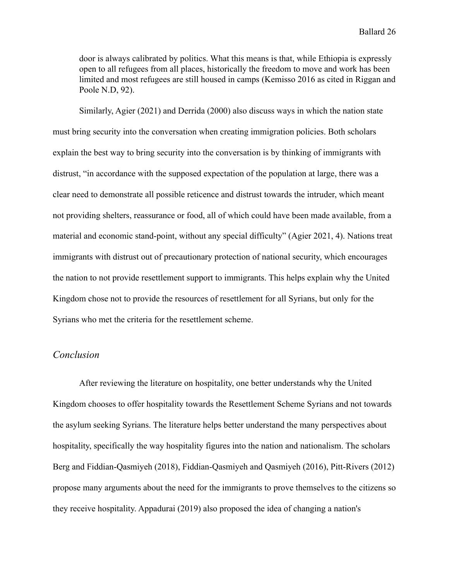door is always calibrated by politics. What this means is that, while Ethiopia is expressly open to all refugees from all places, historically the freedom to move and work has been limited and most refugees are still housed in camps (Kemisso 2016 as cited in Riggan and Poole N.D, 92).

Similarly, Agier (2021) and Derrida (2000) also discuss ways in which the nation state must bring security into the conversation when creating immigration policies. Both scholars explain the best way to bring security into the conversation is by thinking of immigrants with distrust, "in accordance with the supposed expectation of the population at large, there was a clear need to demonstrate all possible reticence and distrust towards the intruder, which meant not providing shelters, reassurance or food, all of which could have been made available, from a material and economic stand-point, without any special difficulty" (Agier 2021, 4). Nations treat immigrants with distrust out of precautionary protection of national security, which encourages the nation to not provide resettlement support to immigrants. This helps explain why the United Kingdom chose not to provide the resources of resettlement for all Syrians, but only for the Syrians who met the criteria for the resettlement scheme.

### <span id="page-26-0"></span>*Conclusion*

After reviewing the literature on hospitality, one better understands why the United Kingdom chooses to offer hospitality towards the Resettlement Scheme Syrians and not towards the asylum seeking Syrians. The literature helps better understand the many perspectives about hospitality, specifically the way hospitality figures into the nation and nationalism. The scholars Berg and Fiddian-Qasmiyeh (2018), Fiddian-Qasmiyeh and Qasmiyeh (2016), Pitt-Rivers (2012) propose many arguments about the need for the immigrants to prove themselves to the citizens so they receive hospitality. Appadurai (2019) also proposed the idea of changing a nation's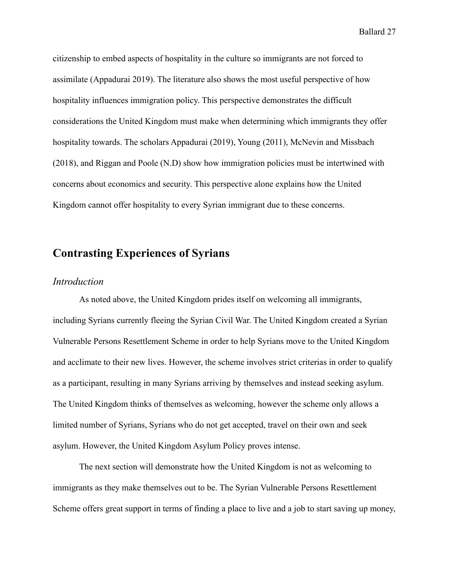citizenship to embed aspects of hospitality in the culture so immigrants are not forced to assimilate (Appadurai 2019). The literature also shows the most useful perspective of how hospitality influences immigration policy. This perspective demonstrates the difficult considerations the United Kingdom must make when determining which immigrants they offer hospitality towards. The scholars Appadurai (2019), Young (2011), McNevin and Missbach (2018), and Riggan and Poole (N.D) show how immigration policies must be intertwined with concerns about economics and security. This perspective alone explains how the United Kingdom cannot offer hospitality to every Syrian immigrant due to these concerns.

# <span id="page-27-0"></span>**Contrasting Experiences of Syrians**

### <span id="page-27-1"></span>*Introduction*

As noted above, the United Kingdom prides itself on welcoming all immigrants, including Syrians currently fleeing the Syrian Civil War. The United Kingdom created a Syrian Vulnerable Persons Resettlement Scheme in order to help Syrians move to the United Kingdom and acclimate to their new lives. However, the scheme involves strict criterias in order to qualify as a participant, resulting in many Syrians arriving by themselves and instead seeking asylum. The United Kingdom thinks of themselves as welcoming, however the scheme only allows a limited number of Syrians, Syrians who do not get accepted, travel on their own and seek asylum. However, the United Kingdom Asylum Policy proves intense.

The next section will demonstrate how the United Kingdom is not as welcoming to immigrants as they make themselves out to be. The Syrian Vulnerable Persons Resettlement Scheme offers great support in terms of finding a place to live and a job to start saving up money,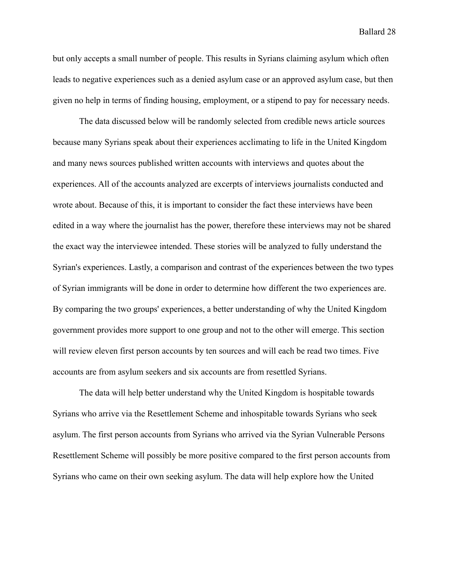but only accepts a small number of people. This results in Syrians claiming asylum which often leads to negative experiences such as a denied asylum case or an approved asylum case, but then given no help in terms of finding housing, employment, or a stipend to pay for necessary needs.

The data discussed below will be randomly selected from credible news article sources because many Syrians speak about their experiences acclimating to life in the United Kingdom and many news sources published written accounts with interviews and quotes about the experiences. All of the accounts analyzed are excerpts of interviews journalists conducted and wrote about. Because of this, it is important to consider the fact these interviews have been edited in a way where the journalist has the power, therefore these interviews may not be shared the exact way the interviewee intended. These stories will be analyzed to fully understand the Syrian's experiences. Lastly, a comparison and contrast of the experiences between the two types of Syrian immigrants will be done in order to determine how different the two experiences are. By comparing the two groups' experiences, a better understanding of why the United Kingdom government provides more support to one group and not to the other will emerge. This section will review eleven first person accounts by ten sources and will each be read two times. Five accounts are from asylum seekers and six accounts are from resettled Syrians.

The data will help better understand why the United Kingdom is hospitable towards Syrians who arrive via the Resettlement Scheme and inhospitable towards Syrians who seek asylum. The first person accounts from Syrians who arrived via the Syrian Vulnerable Persons Resettlement Scheme will possibly be more positive compared to the first person accounts from Syrians who came on their own seeking asylum. The data will help explore how the United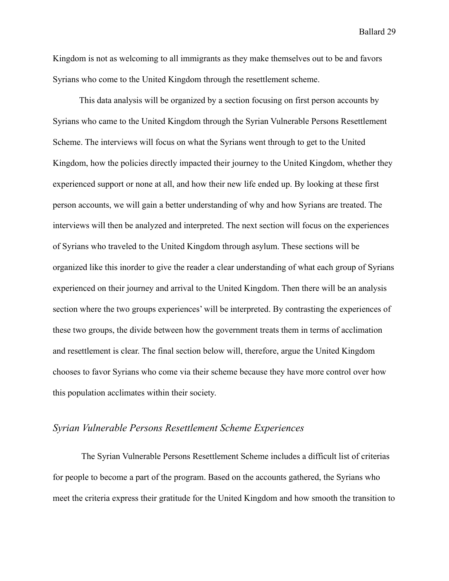Kingdom is not as welcoming to all immigrants as they make themselves out to be and favors Syrians who come to the United Kingdom through the resettlement scheme.

This data analysis will be organized by a section focusing on first person accounts by Syrians who came to the United Kingdom through the Syrian Vulnerable Persons Resettlement Scheme. The interviews will focus on what the Syrians went through to get to the United Kingdom, how the policies directly impacted their journey to the United Kingdom, whether they experienced support or none at all, and how their new life ended up. By looking at these first person accounts, we will gain a better understanding of why and how Syrians are treated. The interviews will then be analyzed and interpreted. The next section will focus on the experiences of Syrians who traveled to the United Kingdom through asylum. These sections will be organized like this inorder to give the reader a clear understanding of what each group of Syrians experienced on their journey and arrival to the United Kingdom. Then there will be an analysis section where the two groups experiences' will be interpreted. By contrasting the experiences of these two groups, the divide between how the government treats them in terms of acclimation and resettlement is clear. The final section below will, therefore, argue the United Kingdom chooses to favor Syrians who come via their scheme because they have more control over how this population acclimates within their society.

### <span id="page-29-0"></span>*Syrian Vulnerable Persons Resettlement Scheme Experiences*

The Syrian Vulnerable Persons Resettlement Scheme includes a difficult list of criterias for people to become a part of the program. Based on the accounts gathered, the Syrians who meet the criteria express their gratitude for the United Kingdom and how smooth the transition to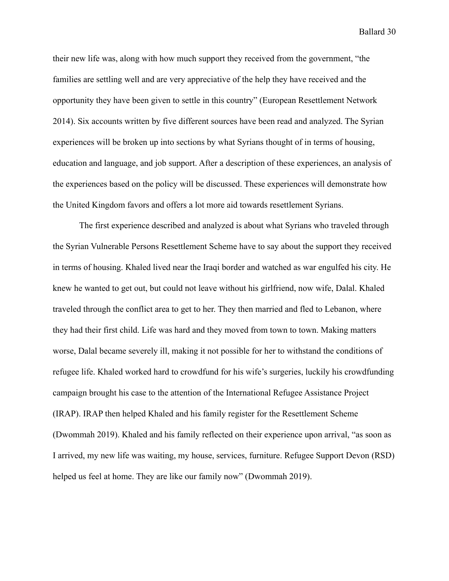their new life was, along with how much support they received from the government, "the families are settling well and are very appreciative of the help they have received and the opportunity they have been given to settle in this country" (European Resettlement Network 2014). Six accounts written by five different sources have been read and analyzed. The Syrian experiences will be broken up into sections by what Syrians thought of in terms of housing, education and language, and job support. After a description of these experiences, an analysis of the experiences based on the policy will be discussed. These experiences will demonstrate how the United Kingdom favors and offers a lot more aid towards resettlement Syrians.

The first experience described and analyzed is about what Syrians who traveled through the Syrian Vulnerable Persons Resettlement Scheme have to say about the support they received in terms of housing. Khaled lived near the Iraqi border and watched as war engulfed his city. He knew he wanted to get out, but could not leave without his girlfriend, now wife, Dalal. Khaled traveled through the conflict area to get to her. They then married and fled to Lebanon, where they had their first child. Life was hard and they moved from town to town. Making matters worse, Dalal became severely ill, making it not possible for her to withstand the conditions of refugee life. Khaled worked hard to crowdfund for his wife's surgeries, luckily his crowdfunding campaign brought his case to the attention of the International Refugee Assistance Project (IRAP). IRAP then helped Khaled and his family register for the Resettlement Scheme (Dwommah 2019). Khaled and his family reflected on their experience upon arrival, "as soon as I arrived, my new life was waiting, my house, services, furniture. Refugee Support Devon (RSD) helped us feel at home. They are like our family now" (Dwommah 2019).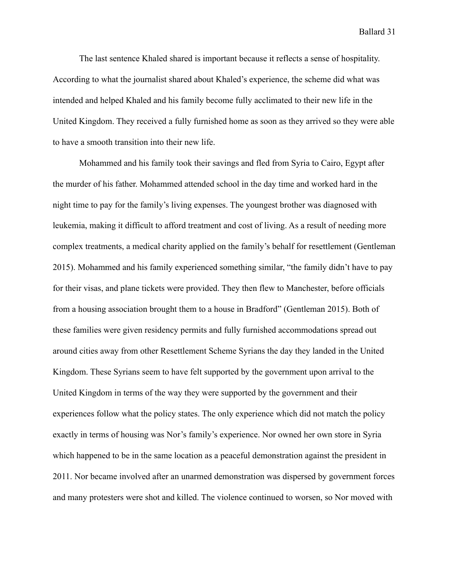The last sentence Khaled shared is important because it reflects a sense of hospitality. According to what the journalist shared about Khaled's experience, the scheme did what was intended and helped Khaled and his family become fully acclimated to their new life in the United Kingdom. They received a fully furnished home as soon as they arrived so they were able to have a smooth transition into their new life.

Mohammed and his family took their savings and fled from Syria to Cairo, Egypt after the murder of his father. Mohammed attended school in the day time and worked hard in the night time to pay for the family's living expenses. The youngest brother was diagnosed with leukemia, making it difficult to afford treatment and cost of living. As a result of needing more complex treatments, a medical charity applied on the family's behalf for resettlement (Gentleman 2015). Mohammed and his family experienced something similar, "the family didn't have to pay for their visas, and plane tickets were provided. They then flew to Manchester, before officials from a housing association brought them to a house in Bradford" (Gentleman 2015). Both of these families were given residency permits and fully furnished accommodations spread out around cities away from other Resettlement Scheme Syrians the day they landed in the United Kingdom. These Syrians seem to have felt supported by the government upon arrival to the United Kingdom in terms of the way they were supported by the government and their experiences follow what the policy states. The only experience which did not match the policy exactly in terms of housing was Nor's family's experience. Nor owned her own store in Syria which happened to be in the same location as a peaceful demonstration against the president in 2011. Nor became involved after an unarmed demonstration was dispersed by government forces and many protesters were shot and killed. The violence continued to worsen, so Nor moved with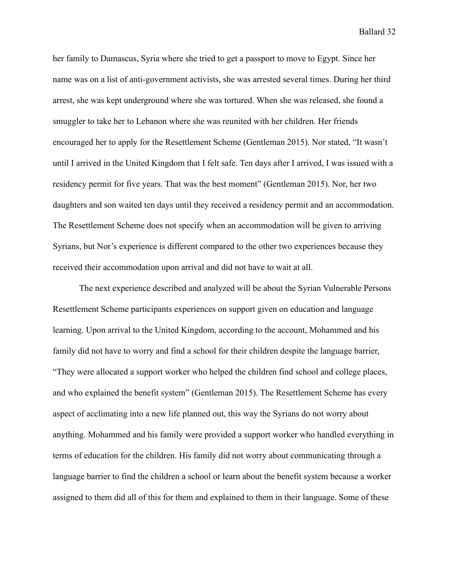her family to Damascus, Syria where she tried to get a passport to move to Egypt. Since her name was on a list of anti-government activists, she was arrested several times. During her third arrest, she was kept underground where she was tortured. When she was released, she found a smuggler to take her to Lebanon where she was reunited with her children. Her friends encouraged her to apply for the Resettlement Scheme (Gentleman 2015). Nor stated, "It wasn't until I arrived in the United Kingdom that I felt safe. Ten days after I arrived, I was issued with a residency permit for five years. That was the best moment" (Gentleman 2015). Nor, her two daughters and son waited ten days until they received a residency permit and an accommodation. The Resettlement Scheme does not specify when an accommodation will be given to arriving Syrians, but Nor's experience is different compared to the other two experiences because they received their accommodation upon arrival and did not have to wait at all.

The next experience described and analyzed will be about the Syrian Vulnerable Persons Resettlement Scheme participants experiences on support given on education and language learning. Upon arrival to the United Kingdom, according to the account, Mohammed and his family did not have to worry and find a school for their children despite the language barrier, "They were allocated a support worker who helped the children find school and college places, and who explained the benefit system" (Gentleman 2015). The Resettlement Scheme has every aspect of acclimating into a new life planned out, this way the Syrians do not worry about anything. Mohammed and his family were provided a support worker who handled everything in terms of education for the children. His family did not worry about communicating through a language barrier to find the children a school or learn about the benefit system because a worker assigned to them did all of this for them and explained to them in their language. Some of these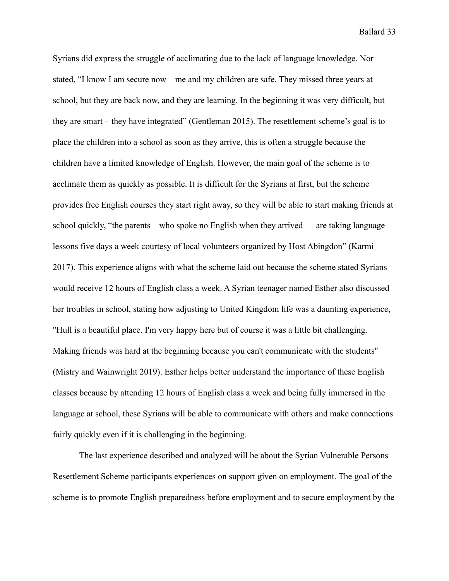Syrians did express the struggle of acclimating due to the lack of language knowledge. Nor stated, "I know I am secure now – me and my children are safe. They missed three years at school, but they are back now, and they are learning. In the beginning it was very difficult, but they are smart – they have integrated" (Gentleman 2015). The resettlement scheme's goal is to place the children into a school as soon as they arrive, this is often a struggle because the children have a limited knowledge of English. However, the main goal of the scheme is to acclimate them as quickly as possible. It is difficult for the Syrians at first, but the scheme provides free English courses they start right away, so they will be able to start making friends at school quickly, "the parents – who spoke no English when they arrived — are taking language lessons five days a week courtesy of local volunteers organized by Host Abingdon" (Karmi 2017). This experience aligns with what the scheme laid out because the scheme stated Syrians would receive 12 hours of English class a week. A Syrian teenager named Esther also discussed her troubles in school, stating how adjusting to United Kingdom life was a daunting experience, "Hull is a beautiful place. I'm very happy here but of course it was a little bit challenging. Making friends was hard at the beginning because you can't communicate with the students" (Mistry and Wainwright 2019). Esther helps better understand the importance of these English classes because by attending 12 hours of English class a week and being fully immersed in the language at school, these Syrians will be able to communicate with others and make connections fairly quickly even if it is challenging in the beginning.

The last experience described and analyzed will be about the Syrian Vulnerable Persons Resettlement Scheme participants experiences on support given on employment. The goal of the scheme is to promote English preparedness before employment and to secure employment by the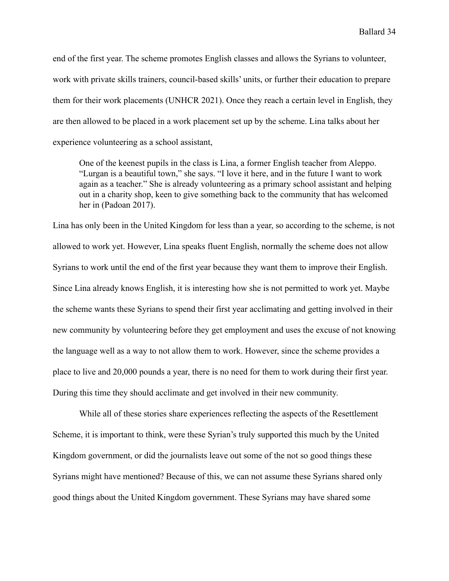end of the first year. The scheme promotes English classes and allows the Syrians to volunteer, work with private skills trainers, council-based skills' units, or further their education to prepare them for their work placements (UNHCR 2021). Once they reach a certain level in English, they are then allowed to be placed in a work placement set up by the scheme. Lina talks about her experience volunteering as a school assistant,

One of the keenest pupils in the class is Lina, a former English teacher from Aleppo. "Lurgan is a beautiful town," she says. "I love it here, and in the future I want to work again as a teacher." She is already volunteering as a primary school assistant and helping out in a charity shop, keen to give something back to the community that has welcomed her in (Padoan 2017).

Lina has only been in the United Kingdom for less than a year, so according to the scheme, is not allowed to work yet. However, Lina speaks fluent English, normally the scheme does not allow Syrians to work until the end of the first year because they want them to improve their English. Since Lina already knows English, it is interesting how she is not permitted to work yet. Maybe the scheme wants these Syrians to spend their first year acclimating and getting involved in their new community by volunteering before they get employment and uses the excuse of not knowing the language well as a way to not allow them to work. However, since the scheme provides a place to live and 20,000 pounds a year, there is no need for them to work during their first year. During this time they should acclimate and get involved in their new community.

While all of these stories share experiences reflecting the aspects of the Resettlement Scheme, it is important to think, were these Syrian's truly supported this much by the United Kingdom government, or did the journalists leave out some of the not so good things these Syrians might have mentioned? Because of this, we can not assume these Syrians shared only good things about the United Kingdom government. These Syrians may have shared some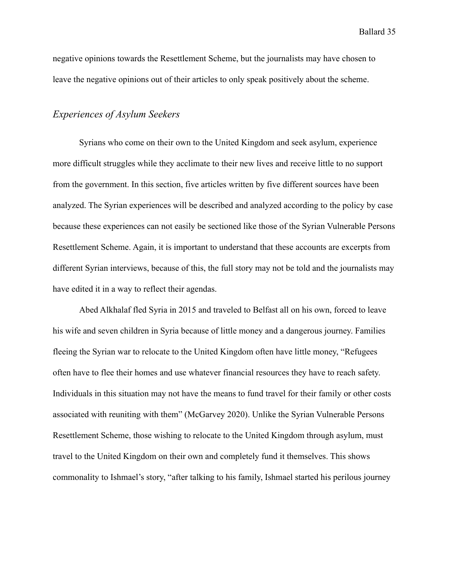negative opinions towards the Resettlement Scheme, but the journalists may have chosen to leave the negative opinions out of their articles to only speak positively about the scheme.

### <span id="page-35-0"></span>*Experiences of Asylum Seekers*

Syrians who come on their own to the United Kingdom and seek asylum, experience more difficult struggles while they acclimate to their new lives and receive little to no support from the government. In this section, five articles written by five different sources have been analyzed. The Syrian experiences will be described and analyzed according to the policy by case because these experiences can not easily be sectioned like those of the Syrian Vulnerable Persons Resettlement Scheme. Again, it is important to understand that these accounts are excerpts from different Syrian interviews, because of this, the full story may not be told and the journalists may have edited it in a way to reflect their agendas.

Abed Alkhalaf fled Syria in 2015 and traveled to Belfast all on his own, forced to leave his wife and seven children in Syria because of little money and a dangerous journey. Families fleeing the Syrian war to relocate to the United Kingdom often have little money, "Refugees often have to flee their homes and use whatever financial resources they have to reach safety. Individuals in this situation may not have the means to fund travel for their family or other costs associated with reuniting with them" (McGarvey 2020). Unlike the Syrian Vulnerable Persons Resettlement Scheme, those wishing to relocate to the United Kingdom through asylum, must travel to the United Kingdom on their own and completely fund it themselves. This shows commonality to Ishmael's story, "after talking to his family, Ishmael started his perilous journey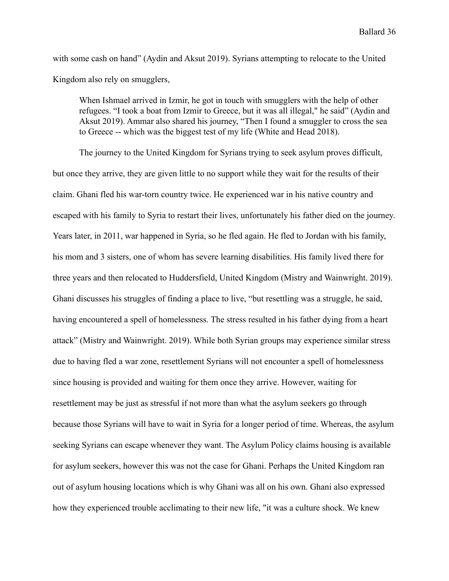with some cash on hand" (Aydin and Aksut 2019). Syrians attempting to relocate to the United Kingdom also rely on smugglers,

When Ishmael arrived in Izmir, he got in touch with smugglers with the help of other refugees. "I took a boat from Izmir to Greece, but it was all illegal," he said" (Aydin and Aksut 2019). Ammar also shared his journey, "Then I found a smuggler to cross the sea to Greece -- which was the biggest test of my life (White and Head 2018).

The journey to the United Kingdom for Syrians trying to seek asylum proves difficult, but once they arrive, they are given little to no support while they wait for the results of their claim. Ghani fled his war-torn country twice. He experienced war in his native country and escaped with his family to Syria to restart their lives, unfortunately his father died on the journey. Years later, in 2011, war happened in Syria, so he fled again. He fled to Jordan with his family, his mom and 3 sisters, one of whom has severe learning disabilities. His family lived there for three years and then relocated to Huddersfield, United Kingdom (Mistry and Wainwright. 2019). Ghani discusses his struggles of finding a place to live, "but resettling was a struggle, he said, having encountered a spell of homelessness. The stress resulted in his father dying from a heart attack" (Mistry and Wainwright. 2019). While both Syrian groups may experience similar stress due to having fled a war zone, resettlement Syrians will not encounter a spell of homelessness since housing is provided and waiting for them once they arrive. However, waiting for resettlement may be just as stressful if not more than what the asylum seekers go through because those Syrians will have to wait in Syria for a longer period of time. Whereas, the asylum seeking Syrians can escape whenever they want. The Asylum Policy claims housing is available for asylum seekers, however this was not the case for Ghani. Perhaps the United Kingdom ran out of asylum housing locations which is why Ghani was all on his own. Ghani also expressed how they experienced trouble acclimating to their new life, "it was a culture shock. We knew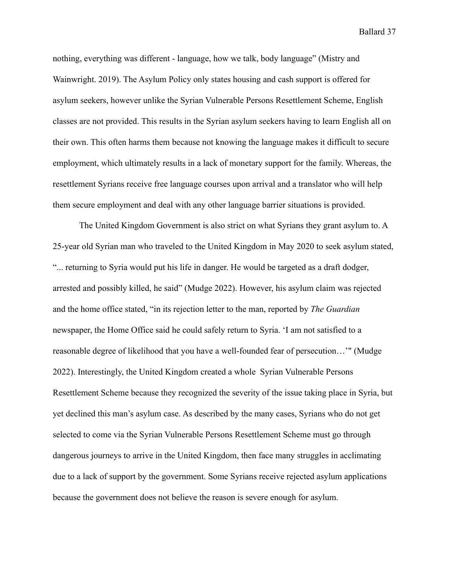nothing, everything was different - language, how we talk, body language" (Mistry and Wainwright. 2019). The Asylum Policy only states housing and cash support is offered for asylum seekers, however unlike the Syrian Vulnerable Persons Resettlement Scheme, English classes are not provided. This results in the Syrian asylum seekers having to learn English all on their own. This often harms them because not knowing the language makes it difficult to secure employment, which ultimately results in a lack of monetary support for the family. Whereas, the resettlement Syrians receive free language courses upon arrival and a translator who will help them secure employment and deal with any other language barrier situations is provided.

The United Kingdom Government is also strict on what Syrians they grant asylum to. A 25-year old Syrian man who traveled to the United Kingdom in May 2020 to seek asylum stated, "... returning to Syria would put his life in danger. He would be targeted as a draft dodger, arrested and possibly killed, he said" (Mudge 2022). However, his asylum claim was rejected and the home office stated, "in its rejection letter to the man, reported by *The Guardian* newspaper, the Home Office said he could safely return to Syria. 'I am not satisfied to a reasonable degree of likelihood that you have a well-founded fear of persecution…'" (Mudge 2022). Interestingly, the United Kingdom created a whole Syrian Vulnerable Persons Resettlement Scheme because they recognized the severity of the issue taking place in Syria, but yet declined this man's asylum case. As described by the many cases, Syrians who do not get selected to come via the Syrian Vulnerable Persons Resettlement Scheme must go through dangerous journeys to arrive in the United Kingdom, then face many struggles in acclimating due to a lack of support by the government. Some Syrians receive rejected asylum applications because the government does not believe the reason is severe enough for asylum.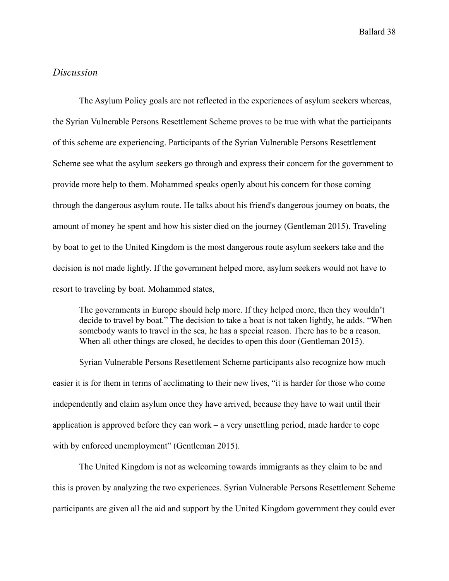### <span id="page-38-0"></span>*Discussion*

The Asylum Policy goals are not reflected in the experiences of asylum seekers whereas, the Syrian Vulnerable Persons Resettlement Scheme proves to be true with what the participants of this scheme are experiencing. Participants of the Syrian Vulnerable Persons Resettlement Scheme see what the asylum seekers go through and express their concern for the government to provide more help to them. Mohammed speaks openly about his concern for those coming through the dangerous asylum route. He talks about his friend's dangerous journey on boats, the amount of money he spent and how his sister died on the journey (Gentleman 2015). Traveling by boat to get to the United Kingdom is the most dangerous route asylum seekers take and the decision is not made lightly. If the government helped more, asylum seekers would not have to resort to traveling by boat. Mohammed states,

The governments in Europe should help more. If they helped more, then they wouldn't decide to travel by boat." The decision to take a boat is not taken lightly, he adds. "When somebody wants to travel in the sea, he has a special reason. There has to be a reason. When all other things are closed, he decides to open this door (Gentleman 2015).

Syrian Vulnerable Persons Resettlement Scheme participants also recognize how much easier it is for them in terms of acclimating to their new lives, "it is harder for those who come independently and claim asylum once they have arrived, because they have to wait until their application is approved before they can work – a very unsettling period, made harder to cope with by enforced unemployment" (Gentleman 2015).

The United Kingdom is not as welcoming towards immigrants as they claim to be and this is proven by analyzing the two experiences. Syrian Vulnerable Persons Resettlement Scheme participants are given all the aid and support by the United Kingdom government they could ever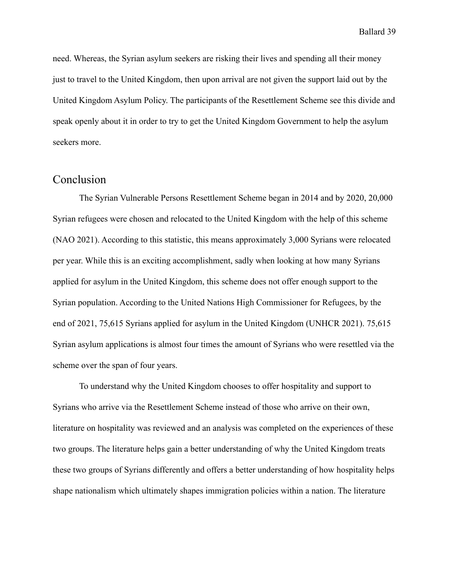need. Whereas, the Syrian asylum seekers are risking their lives and spending all their money just to travel to the United Kingdom, then upon arrival are not given the support laid out by the United Kingdom Asylum Policy. The participants of the Resettlement Scheme see this divide and speak openly about it in order to try to get the United Kingdom Government to help the asylum seekers more.

## <span id="page-39-0"></span>Conclusion

The Syrian Vulnerable Persons Resettlement Scheme began in 2014 and by 2020, 20,000 Syrian refugees were chosen and relocated to the United Kingdom with the help of this scheme (NAO 2021). According to this statistic, this means approximately 3,000 Syrians were relocated per year. While this is an exciting accomplishment, sadly when looking at how many Syrians applied for asylum in the United Kingdom, this scheme does not offer enough support to the Syrian population. According to the United Nations High Commissioner for Refugees, by the end of 2021, 75,615 Syrians applied for asylum in the United Kingdom (UNHCR 2021). 75,615 Syrian asylum applications is almost four times the amount of Syrians who were resettled via the scheme over the span of four years.

To understand why the United Kingdom chooses to offer hospitality and support to Syrians who arrive via the Resettlement Scheme instead of those who arrive on their own, literature on hospitality was reviewed and an analysis was completed on the experiences of these two groups. The literature helps gain a better understanding of why the United Kingdom treats these two groups of Syrians differently and offers a better understanding of how hospitality helps shape nationalism which ultimately shapes immigration policies within a nation. The literature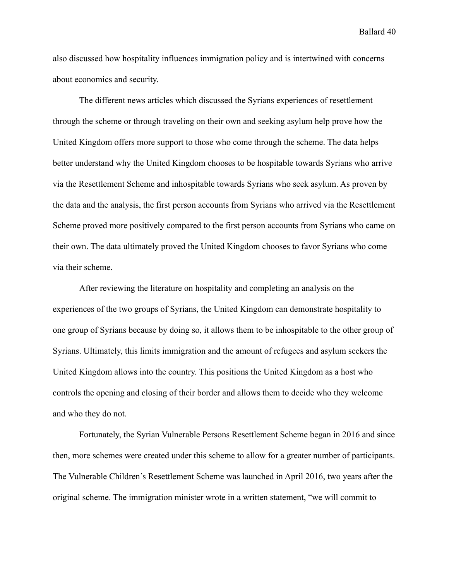also discussed how hospitality influences immigration policy and is intertwined with concerns about economics and security.

The different news articles which discussed the Syrians experiences of resettlement through the scheme or through traveling on their own and seeking asylum help prove how the United Kingdom offers more support to those who come through the scheme. The data helps better understand why the United Kingdom chooses to be hospitable towards Syrians who arrive via the Resettlement Scheme and inhospitable towards Syrians who seek asylum. As proven by the data and the analysis, the first person accounts from Syrians who arrived via the Resettlement Scheme proved more positively compared to the first person accounts from Syrians who came on their own. The data ultimately proved the United Kingdom chooses to favor Syrians who come via their scheme.

After reviewing the literature on hospitality and completing an analysis on the experiences of the two groups of Syrians, the United Kingdom can demonstrate hospitality to one group of Syrians because by doing so, it allows them to be inhospitable to the other group of Syrians. Ultimately, this limits immigration and the amount of refugees and asylum seekers the United Kingdom allows into the country. This positions the United Kingdom as a host who controls the opening and closing of their border and allows them to decide who they welcome and who they do not.

Fortunately, the Syrian Vulnerable Persons Resettlement Scheme began in 2016 and since then, more schemes were created under this scheme to allow for a greater number of participants. The Vulnerable Children's Resettlement Scheme was launched in April 2016, two years after the original scheme. The immigration minister wrote in a written statement, "we will commit to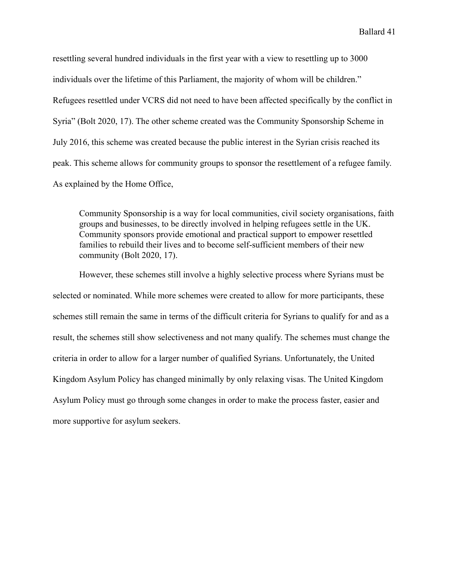resettling several hundred individuals in the first year with a view to resettling up to 3000 individuals over the lifetime of this Parliament, the majority of whom will be children." Refugees resettled under VCRS did not need to have been affected specifically by the conflict in Syria" (Bolt 2020, 17). The other scheme created was the Community Sponsorship Scheme in July 2016, this scheme was created because the public interest in the Syrian crisis reached its peak. This scheme allows for community groups to sponsor the resettlement of a refugee family. As explained by the Home Office,

Community Sponsorship is a way for local communities, civil society organisations, faith groups and businesses, to be directly involved in helping refugees settle in the UK. Community sponsors provide emotional and practical support to empower resettled families to rebuild their lives and to become self-sufficient members of their new community (Bolt 2020, 17).

However, these schemes still involve a highly selective process where Syrians must be selected or nominated. While more schemes were created to allow for more participants, these schemes still remain the same in terms of the difficult criteria for Syrians to qualify for and as a result, the schemes still show selectiveness and not many qualify. The schemes must change the criteria in order to allow for a larger number of qualified Syrians. Unfortunately, the United Kingdom Asylum Policy has changed minimally by only relaxing visas. The United Kingdom Asylum Policy must go through some changes in order to make the process faster, easier and more supportive for asylum seekers.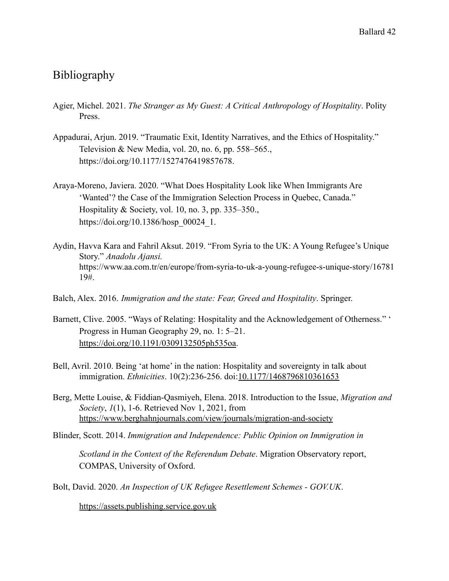# <span id="page-42-0"></span>Bibliography

- Agier, Michel. 2021. *The Stranger as My Guest: A Critical Anthropology of Hospitality*. Polity Press.
- Appadurai, Arjun. 2019. "Traumatic Exit, Identity Narratives, and the Ethics of Hospitality." Television & New Media, vol. 20, no. 6, pp. 558–565., https://doi.org/10.1177/1527476419857678.
- Araya-Moreno, Javiera. 2020. "What Does Hospitality Look like When Immigrants Are 'Wanted'? the Case of the Immigration Selection Process in Quebec, Canada." Hospitality & Society, vol. 10, no. 3, pp. 335–350., https://doi.org/10.1386/hosp\_00024\_1.
- Aydin, Havva Kara and Fahril Aksut. 2019. "From Syria to the UK: A Young Refugee's Unique Story." *Anadolu Ajansi.* https://www.aa.com.tr/en/europe/from-syria-to-uk-a-young-refugee-s-unique-story/16781 19#.
- Balch, Alex. 2016. *Immigration and the state: Fear, Greed and Hospitality*. Springer.
- Barnett, Clive. 2005. "Ways of Relating: Hospitality and the Acknowledgement of Otherness." " Progress in Human Geography 29, no. 1: 5–21. <https://doi.org/10.1191/0309132505ph535oa>.
- Bell, Avril. 2010. Being 'at home' in the nation: Hospitality and sovereignty in talk about immigration. *Ethnicities*. 10(2):236-256. doi:[10.1177/1468796810361653](https://doi.org/10.1177/1468796810361653)
- Berg, Mette Louise, & Fiddian-Qasmiyeh, Elena. 2018. Introduction to the Issue, *Migration and Society*, *1*(1), 1-6. Retrieved Nov 1, 2021, from [https://www.berghahnjournals.com/view/journals/migration-and-society](https://www.berghahnjournals.com/view/journals/migration-and-society/1/1/arms010102.xml)

Blinder, Scott. 2014. *Immigration and Independence: Public Opinion on Immigration in*

*Scotland in the Context of the Referendum Debate*. Migration Observatory report, COMPAS, University of Oxford.

Bolt, David. 2020. *An Inspection of UK Refugee Resettlement Schemes - GOV.UK*.

[https://assets.publishing.service.gov.uk](https://assets.publishing.service.gov.uk/government/uploads/system/uploads/attachment_)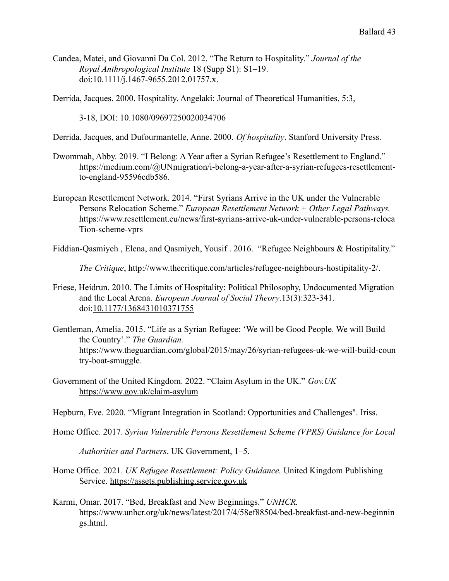Candea, Matei, and Giovanni Da Col. 2012. "The Return to Hospitality." *Journal of the Royal Anthropological Institute* 18 (Supp S1): S1–19. doi:10.1111/j.1467-9655.2012.01757.x.

Derrida, Jacques. 2000. Hospitality. Angelaki: Journal of Theoretical Humanities, 5:3,

3-18, DOI: 10.1080/09697250020034706

Derrida, Jacques, and Dufourmantelle, Anne. 2000. *Of hospitality*. Stanford University Press.

- Dwommah, Abby. 2019. "I Belong: A Year after a Syrian Refugee's Resettlement to England." https://medium.com/@UNmigration/i-belong-a-year-after-a-syrian-refugees-resettlementto-england-95596cdb586.
- European Resettlement Network. 2014. "First Syrians Arrive in the UK under the Vulnerable Persons Relocation Scheme." *European Resettlement Network + Other Legal Pathways.* https://www.resettlement.eu/news/first-syrians-arrive-uk-under-vulnerable-persons-reloca Tion-scheme-vprs

Fiddian-Qasmiyeh , Elena, and Qasmiyeh, Yousif . 2016. "Refugee Neighbours & Hostipitality."

*The Critique*, http://www.thecritique.com/articles/refugee-neighbours-hostipitality-2/.

- Friese, Heidrun. 2010. The Limits of Hospitality: Political Philosophy, Undocumented Migration and the Local Arena. *European Journal of Social Theory*.13(3):323-341. doi:[10.1177/1368431010371755](https://doi.org/10.1177/1368431010371755)
- Gentleman, Amelia. 2015. "Life as a Syrian Refugee: 'We will be Good People. We will Build the Country'." *The Guardian.* https://www.theguardian.com/global/2015/may/26/syrian-refugees-uk-we-will-build-coun try-boat-smuggle.
- Government of the United Kingdom. 2022. "Claim Asylum in the UK." *Gov.UK* <https://www.gov.uk/claim-asylum>

Hepburn, Eve. 2020. "Migrant Integration in Scotland: Opportunities and Challenges". Iriss.

Home Office. 2017. *Syrian Vulnerable Persons Resettlement Scheme (VPRS) Guidance for Local*

*Authorities and Partners*. UK Government, 1–5.

- Home Office. 2021. *UK Refugee Resettlement: Policy Guidance.* United Kingdom Publishing Service. <https://assets.publishing.service.gov.uk>
- Karmi, Omar. 2017. "Bed, Breakfast and New Beginnings." *UNHCR.* https://www.unhcr.org/uk/news/latest/2017/4/58ef88504/bed-breakfast-and-new-beginnin gs.html.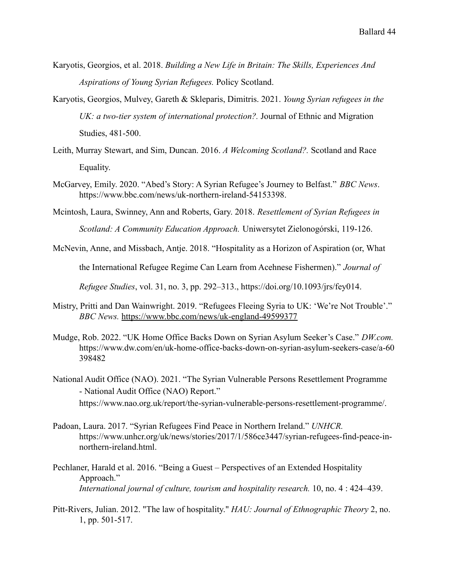- Karyotis, Georgios, et al. 2018. *Building a New Life in Britain: The Skills, Experiences And Aspirations of Young Syrian Refugees.* Policy Scotland.
- Karyotis, Georgios, Mulvey, Gareth & Skleparis, Dimitris. 2021. *Young Syrian refugees in the UK: a two-tier system of international protection?.* Journal of Ethnic and Migration Studies, 481-500.
- Leith, Murray Stewart, and Sim, Duncan. 2016. *A Welcoming Scotland?.* Scotland and Race Equality.
- McGarvey, Emily. 2020. "Abed's Story: A Syrian Refugee's Journey to Belfast." *BBC News*. https://www.bbc.com/news/uk-northern-ireland-54153398.
- Mcintosh, Laura, Swinney, Ann and Roberts, Gary. 2018. *Resettlement of Syrian Refugees in Scotland: A Community Education Approach.* Uniwersytet Zielonogórski, 119-126.
- McNevin, Anne, and Missbach, Antje. 2018. "Hospitality as a Horizon of Aspiration (or, What

the International Refugee Regime Can Learn from Acehnese Fishermen)." *Journal of*

*Refugee Studies*, vol. 31, no. 3, pp. 292–313., https://doi.org/10.1093/jrs/fey014.

- Mistry, Pritti and Dan Wainwright. 2019. "Refugees Fleeing Syria to UK: 'We're Not Trouble'." *BBC News.* <https://www.bbc.com/news/uk-england-49599377>
- Mudge, Rob. 2022. "UK Home Office Backs Down on Syrian Asylum Seeker's Case." *DW.com.* https://www.dw.com/en/uk-home-office-backs-down-on-syrian-asylum-seekers-case/a-60 398482
- National Audit Office (NAO). 2021. "The Syrian Vulnerable Persons Resettlement Programme - National Audit Office (NAO) Report." https://www.nao.org.uk/report/the-syrian-vulnerable-persons-resettlement-programme/.
- Padoan, Laura. 2017. "Syrian Refugees Find Peace in Northern Ireland." *UNHCR.* https://www.unhcr.org/uk/news/stories/2017/1/586ce3447/syrian-refugees-find-peace-innorthern-ireland.html.
- Pechlaner, Harald et al. 2016. "Being a Guest Perspectives of an Extended Hospitality Approach." *International journal of culture, tourism and hospitality research.* 10, no. 4 : 424–439.
- Pitt-Rivers, Julian. 2012. "The law of hospitality." *HAU: Journal of Ethnographic Theory* 2, no. 1, pp. 501-517.